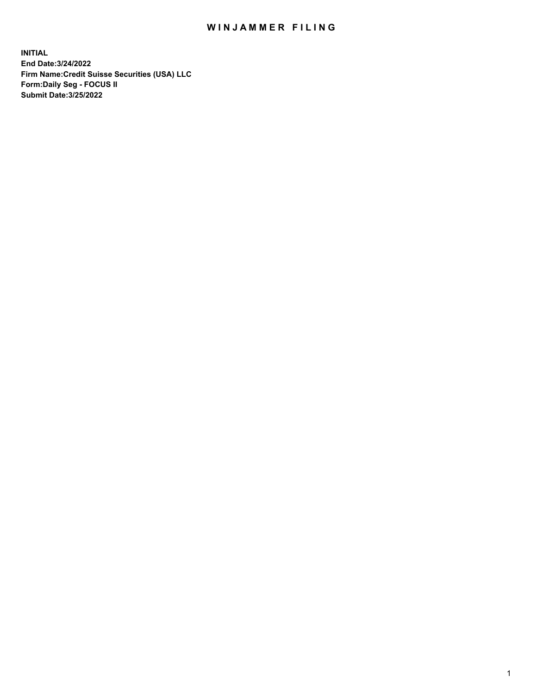## WIN JAMMER FILING

**INITIAL End Date:3/24/2022 Firm Name:Credit Suisse Securities (USA) LLC Form:Daily Seg - FOCUS II Submit Date:3/25/2022**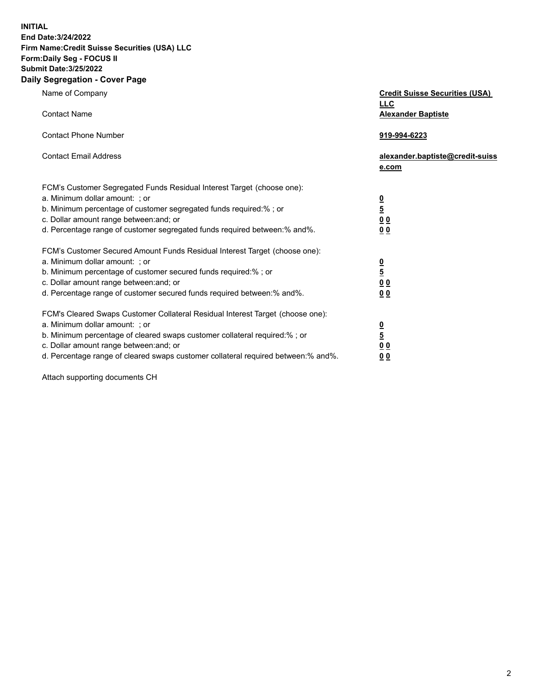**INITIAL** 

## **End Date:3/24/2022 Firm Name:Credit Suisse Securities (USA) LLC Form:Daily Seg - FOCUS II Submit Date:3/25/2022**

## **Daily Segregation - Cover Page**

| Name of Company                                                                                                                                                                                                                                                                                                                | <b>Credit Suisse Securities (USA)</b><br><b>LLC</b>  |
|--------------------------------------------------------------------------------------------------------------------------------------------------------------------------------------------------------------------------------------------------------------------------------------------------------------------------------|------------------------------------------------------|
| <b>Contact Name</b><br><b>Contact Phone Number</b>                                                                                                                                                                                                                                                                             | <b>Alexander Baptiste</b><br>919-994-6223            |
| <b>Contact Email Address</b>                                                                                                                                                                                                                                                                                                   | alexander.baptiste@credit-suiss<br>e.com             |
| FCM's Customer Segregated Funds Residual Interest Target (choose one):<br>a. Minimum dollar amount: ; or<br>b. Minimum percentage of customer segregated funds required:% ; or<br>c. Dollar amount range between: and; or<br>d. Percentage range of customer segregated funds required between:% and%.                         | $\frac{0}{5}$<br>$\underline{0} \underline{0}$<br>00 |
| FCM's Customer Secured Amount Funds Residual Interest Target (choose one):<br>a. Minimum dollar amount: ; or<br>b. Minimum percentage of customer secured funds required:%; or<br>c. Dollar amount range between: and; or<br>d. Percentage range of customer secured funds required between:% and%.                            | $\frac{0}{5}$<br>0 <sub>0</sub><br>00                |
| FCM's Cleared Swaps Customer Collateral Residual Interest Target (choose one):<br>a. Minimum dollar amount: ; or<br>b. Minimum percentage of cleared swaps customer collateral required:% ; or<br>c. Dollar amount range between: and; or<br>d. Percentage range of cleared swaps customer collateral required between:% and%. | $\frac{0}{5}$<br>0 <sub>0</sub><br>0 <sub>0</sub>    |

Attach supporting documents CH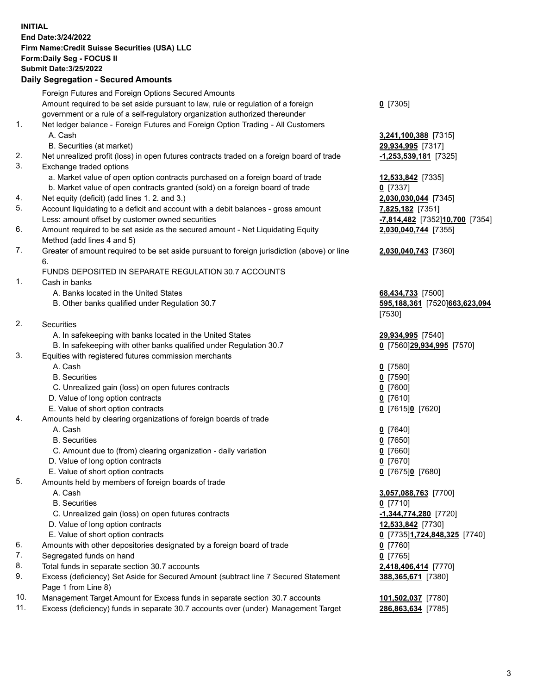**INITIAL End Date:3/24/2022 Firm Name:Credit Suisse Securities (USA) LLC Form:Daily Seg - FOCUS II Submit Date:3/25/2022** 

## **Daily Segregation - Secured Amounts**

|     | Foreign Futures and Foreign Options Secured Amounts                                                        |                                |
|-----|------------------------------------------------------------------------------------------------------------|--------------------------------|
|     | Amount required to be set aside pursuant to law, rule or regulation of a foreign                           | $0$ [7305]                     |
|     | government or a rule of a self-regulatory organization authorized thereunder                               |                                |
| 1.  | Net ledger balance - Foreign Futures and Foreign Option Trading - All Customers                            |                                |
|     | A. Cash                                                                                                    | 3,241,100,388 [7315]           |
|     | B. Securities (at market)                                                                                  | 29,934,995 [7317]              |
| 2.  | Net unrealized profit (loss) in open futures contracts traded on a foreign board of trade                  | -1,253,539,181 [7325]          |
| 3.  | Exchange traded options                                                                                    |                                |
|     | a. Market value of open option contracts purchased on a foreign board of trade                             | 12,533,842 [7335]              |
|     | b. Market value of open contracts granted (sold) on a foreign board of trade                               | $0$ [7337]                     |
| 4.  | Net equity (deficit) (add lines 1.2. and 3.)                                                               | 2,030,030,044 [7345]           |
| 5.  | Account liquidating to a deficit and account with a debit balances - gross amount                          | 7,825,182 [7351]               |
|     | Less: amount offset by customer owned securities                                                           | -7,814,482 [7352]10,700 [7354] |
| 6.  | Amount required to be set aside as the secured amount - Net Liquidating Equity                             | 2,030,040,744 [7355]           |
|     | Method (add lines 4 and 5)                                                                                 |                                |
| 7.  | Greater of amount required to be set aside pursuant to foreign jurisdiction (above) or line<br>6.          | 2,030,040,743 [7360]           |
|     | FUNDS DEPOSITED IN SEPARATE REGULATION 30.7 ACCOUNTS                                                       |                                |
| 1.  | Cash in banks                                                                                              |                                |
|     | A. Banks located in the United States                                                                      | 68,434,733 [7500]              |
|     | B. Other banks qualified under Regulation 30.7                                                             | 595,188,361 [7520]663,623,094  |
|     |                                                                                                            | [7530]                         |
| 2.  | Securities                                                                                                 |                                |
|     | A. In safekeeping with banks located in the United States                                                  | 29,934,995 [7540]              |
|     | B. In safekeeping with other banks qualified under Regulation 30.7                                         | 0 [7560]29,934,995 [7570]      |
| 3.  | Equities with registered futures commission merchants                                                      |                                |
|     | A. Cash                                                                                                    | $0$ [7580]                     |
|     | <b>B.</b> Securities                                                                                       | $0$ [7590]                     |
|     | C. Unrealized gain (loss) on open futures contracts                                                        | $0$ [7600]                     |
|     | D. Value of long option contracts                                                                          | $0$ [7610]                     |
|     | E. Value of short option contracts                                                                         | 0 [7615]0 [7620]               |
| 4.  | Amounts held by clearing organizations of foreign boards of trade                                          |                                |
|     | A. Cash                                                                                                    | $0$ [7640]                     |
|     | <b>B.</b> Securities                                                                                       | $0$ [7650]                     |
|     | C. Amount due to (from) clearing organization - daily variation                                            | $0$ [7660]                     |
|     | D. Value of long option contracts                                                                          | $0$ [7670]                     |
|     | E. Value of short option contracts                                                                         | 0 [7675]0 [7680]               |
| 5.  | Amounts held by members of foreign boards of trade                                                         |                                |
|     | A. Cash                                                                                                    | 3,057,088,763 [7700]           |
|     | <b>B.</b> Securities                                                                                       | $0$ [7710]                     |
|     | C. Unrealized gain (loss) on open futures contracts                                                        | $-1,344,774,280$ [7720]        |
|     | D. Value of long option contracts                                                                          | 12,533,842 [7730]              |
|     | E. Value of short option contracts                                                                         | 0 [7735]1,724,848,325 [7740]   |
| 6.  | Amounts with other depositories designated by a foreign board of trade                                     | $0$ [7760]                     |
| 7.  | Segregated funds on hand                                                                                   | $0$ [7765]                     |
| 8.  | Total funds in separate section 30.7 accounts                                                              | 2,418,406,414 [7770]           |
| 9.  | Excess (deficiency) Set Aside for Secured Amount (subtract line 7 Secured Statement<br>Page 1 from Line 8) | 388,365,671 [7380]             |
| 10. | Management Target Amount for Excess funds in separate section 30.7 accounts                                | 101,502,037 [7780]             |
|     |                                                                                                            |                                |

11. Excess (deficiency) funds in separate 30.7 accounts over (under) Management Target **286,863,634** [7785]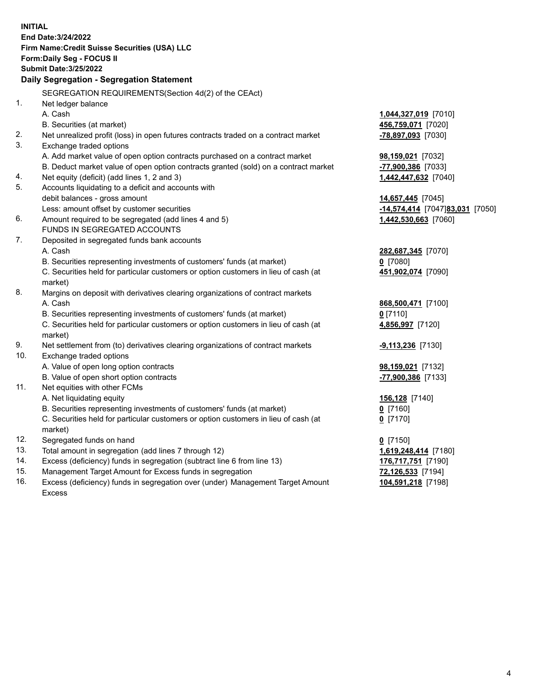15. Management Target Amount for Excess funds in segregation **72,126,533** [7194] 16. Excess (deficiency) funds in segregation over (under) Management Target Amount **104,591,218** [7198] **INITIAL End Date:3/24/2022 Firm Name:Credit Suisse Securities (USA) LLC Form:Daily Seg - FOCUS II Submit Date:3/25/2022 Daily Segregation - Segregation Statement**  SEGREGATION REQUIREMENTS(Section 4d(2) of the CEAct) 1. Net ledger balance A. Cash **1,044,327,019** [7010] B. Securities (at market) **456,759,071** [7020] 2. Net unrealized profit (loss) in open futures contracts traded on a contract market **-78,897,093** [7030] 3. Exchange traded options A. Add market value of open option contracts purchased on a contract market **98,159,021** [7032] B. Deduct market value of open option contracts granted (sold) on a contract market **-77,900,386** [7033] 4. Net equity (deficit) (add lines 1, 2 and 3) **1,442,447,632** [7040] 5. Accounts liquidating to a deficit and accounts with debit balances - gross amount **14,657,445** [7045] Less: amount offset by customer securities **-14,574,414** [7047] **83,031** [7050] 6. Amount required to be segregated (add lines 4 and 5) **1,442,530,663** [7060] FUNDS IN SEGREGATED ACCOUNTS 7. Deposited in segregated funds bank accounts A. Cash **282,687,345** [7070] B. Securities representing investments of customers' funds (at market) **0** [7080] C. Securities held for particular customers or option customers in lieu of cash (at **451,902,074** [7090] market) 8. Margins on deposit with derivatives clearing organizations of contract markets A. Cash **868,500,471** [7100] B. Securities representing investments of customers' funds (at market) **0** [7110] C. Securities held for particular customers or option customers in lieu of cash (at **4,856,997** [7120] market) 9. Net settlement from (to) derivatives clearing organizations of contract markets **-9,113,236** [7130] 10. Exchange traded options A. Value of open long option contracts **98,159,021** [7132] B. Value of open short option contracts **and the set of our original contracts -77,900,386** [7133] 11. Net equities with other FCMs A. Net liquidating equity **156,128** [7140] B. Securities representing investments of customers' funds (at market) **0** [7160] C. Securities held for particular customers or option customers in lieu of cash (at **0** [7170] market) 12. Segregated funds on hand **0** [7150] 13. Total amount in segregation (add lines 7 through 12) **1,619,248,414** [7180] 14. Excess (deficiency) funds in segregation (subtract line 6 from line 13) **176,717,751** [7190] Excess